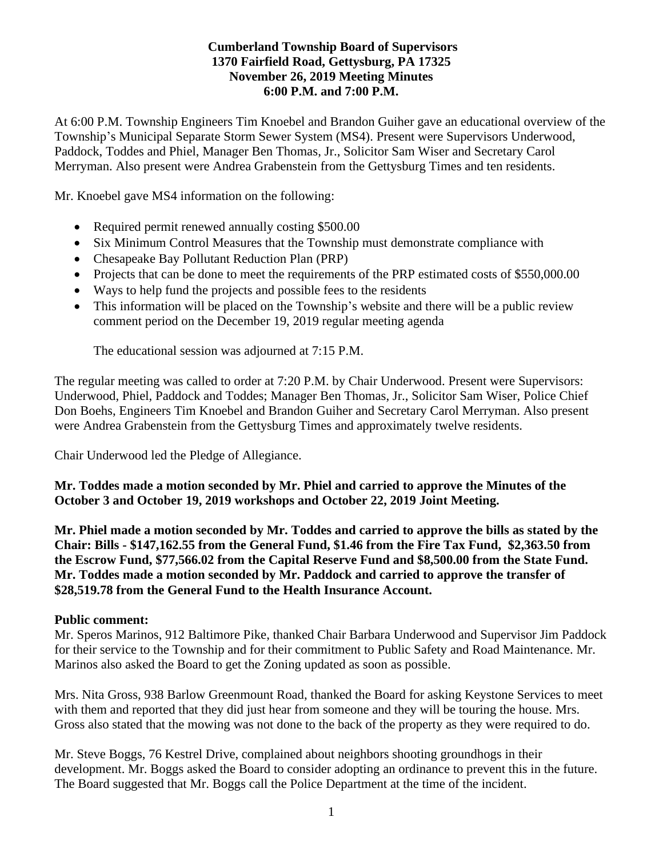## **Cumberland Township Board of Supervisors 1370 Fairfield Road, Gettysburg, PA 17325 November 26, 2019 Meeting Minutes 6:00 P.M. and 7:00 P.M.**

At 6:00 P.M. Township Engineers Tim Knoebel and Brandon Guiher gave an educational overview of the Township's Municipal Separate Storm Sewer System (MS4). Present were Supervisors Underwood, Paddock, Toddes and Phiel, Manager Ben Thomas, Jr., Solicitor Sam Wiser and Secretary Carol Merryman. Also present were Andrea Grabenstein from the Gettysburg Times and ten residents.

Mr. Knoebel gave MS4 information on the following:

- Required permit renewed annually costing \$500.00
- Six Minimum Control Measures that the Township must demonstrate compliance with
- Chesapeake Bay Pollutant Reduction Plan (PRP)
- Projects that can be done to meet the requirements of the PRP estimated costs of \$550,000.00
- Ways to help fund the projects and possible fees to the residents
- This information will be placed on the Township's website and there will be a public review comment period on the December 19, 2019 regular meeting agenda

The educational session was adjourned at 7:15 P.M.

The regular meeting was called to order at 7:20 P.M. by Chair Underwood. Present were Supervisors: Underwood, Phiel, Paddock and Toddes; Manager Ben Thomas, Jr., Solicitor Sam Wiser, Police Chief Don Boehs, Engineers Tim Knoebel and Brandon Guiher and Secretary Carol Merryman. Also present were Andrea Grabenstein from the Gettysburg Times and approximately twelve residents.

Chair Underwood led the Pledge of Allegiance.

**Mr. Toddes made a motion seconded by Mr. Phiel and carried to approve the Minutes of the October 3 and October 19, 2019 workshops and October 22, 2019 Joint Meeting.**

**Mr. Phiel made a motion seconded by Mr. Toddes and carried to approve the bills as stated by the Chair: Bills - \$147,162.55 from the General Fund, \$1.46 from the Fire Tax Fund, \$2,363.50 from the Escrow Fund, \$77,566.02 from the Capital Reserve Fund and \$8,500.00 from the State Fund. Mr. Toddes made a motion seconded by Mr. Paddock and carried to approve the transfer of \$28,519.78 from the General Fund to the Health Insurance Account.**

### **Public comment:**

Mr. Speros Marinos, 912 Baltimore Pike, thanked Chair Barbara Underwood and Supervisor Jim Paddock for their service to the Township and for their commitment to Public Safety and Road Maintenance. Mr. Marinos also asked the Board to get the Zoning updated as soon as possible.

Mrs. Nita Gross, 938 Barlow Greenmount Road, thanked the Board for asking Keystone Services to meet with them and reported that they did just hear from someone and they will be touring the house. Mrs. Gross also stated that the mowing was not done to the back of the property as they were required to do.

Mr. Steve Boggs, 76 Kestrel Drive, complained about neighbors shooting groundhogs in their development. Mr. Boggs asked the Board to consider adopting an ordinance to prevent this in the future. The Board suggested that Mr. Boggs call the Police Department at the time of the incident.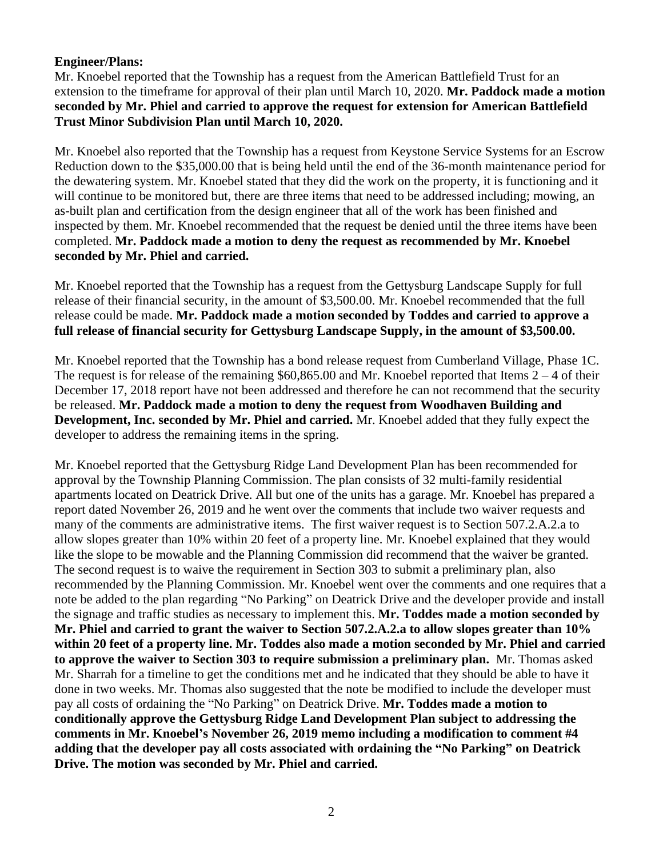## **Engineer/Plans:**

Mr. Knoebel reported that the Township has a request from the American Battlefield Trust for an extension to the timeframe for approval of their plan until March 10, 2020. **Mr. Paddock made a motion seconded by Mr. Phiel and carried to approve the request for extension for American Battlefield Trust Minor Subdivision Plan until March 10, 2020.**

Mr. Knoebel also reported that the Township has a request from Keystone Service Systems for an Escrow Reduction down to the \$35,000.00 that is being held until the end of the 36-month maintenance period for the dewatering system. Mr. Knoebel stated that they did the work on the property, it is functioning and it will continue to be monitored but, there are three items that need to be addressed including; mowing, an as-built plan and certification from the design engineer that all of the work has been finished and inspected by them. Mr. Knoebel recommended that the request be denied until the three items have been completed. **Mr. Paddock made a motion to deny the request as recommended by Mr. Knoebel seconded by Mr. Phiel and carried.**

Mr. Knoebel reported that the Township has a request from the Gettysburg Landscape Supply for full release of their financial security, in the amount of \$3,500.00. Mr. Knoebel recommended that the full release could be made. **Mr. Paddock made a motion seconded by Toddes and carried to approve a full release of financial security for Gettysburg Landscape Supply, in the amount of \$3,500.00.** 

Mr. Knoebel reported that the Township has a bond release request from Cumberland Village, Phase 1C. The request is for release of the remaining  $$60,865.00$  and Mr. Knoebel reported that Items  $2 - 4$  of their December 17, 2018 report have not been addressed and therefore he can not recommend that the security be released. **Mr. Paddock made a motion to deny the request from Woodhaven Building and Development, Inc. seconded by Mr. Phiel and carried.** Mr. Knoebel added that they fully expect the developer to address the remaining items in the spring.

Mr. Knoebel reported that the Gettysburg Ridge Land Development Plan has been recommended for approval by the Township Planning Commission. The plan consists of 32 multi-family residential apartments located on Deatrick Drive. All but one of the units has a garage. Mr. Knoebel has prepared a report dated November 26, 2019 and he went over the comments that include two waiver requests and many of the comments are administrative items. The first waiver request is to Section 507.2.A.2.a to allow slopes greater than 10% within 20 feet of a property line. Mr. Knoebel explained that they would like the slope to be mowable and the Planning Commission did recommend that the waiver be granted. The second request is to waive the requirement in Section 303 to submit a preliminary plan, also recommended by the Planning Commission. Mr. Knoebel went over the comments and one requires that a note be added to the plan regarding "No Parking" on Deatrick Drive and the developer provide and install the signage and traffic studies as necessary to implement this. **Mr. Toddes made a motion seconded by Mr. Phiel and carried to grant the waiver to Section 507.2.A.2.a to allow slopes greater than 10% within 20 feet of a property line. Mr. Toddes also made a motion seconded by Mr. Phiel and carried to approve the waiver to Section 303 to require submission a preliminary plan.** Mr. Thomas asked Mr. Sharrah for a timeline to get the conditions met and he indicated that they should be able to have it done in two weeks. Mr. Thomas also suggested that the note be modified to include the developer must pay all costs of ordaining the "No Parking" on Deatrick Drive. **Mr. Toddes made a motion to conditionally approve the Gettysburg Ridge Land Development Plan subject to addressing the comments in Mr. Knoebel's November 26, 2019 memo including a modification to comment #4 adding that the developer pay all costs associated with ordaining the "No Parking" on Deatrick Drive. The motion was seconded by Mr. Phiel and carried.**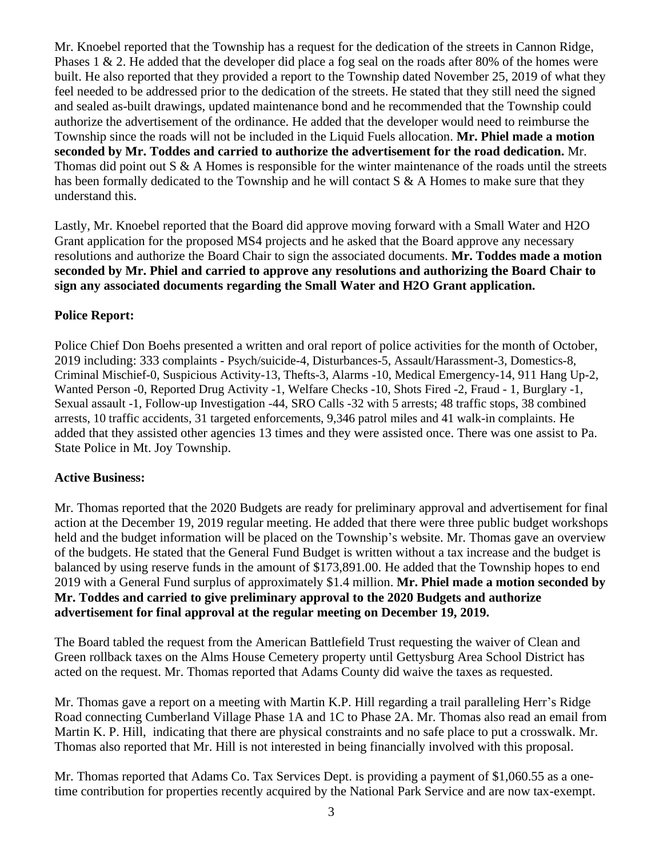Mr. Knoebel reported that the Township has a request for the dedication of the streets in Cannon Ridge, Phases 1 & 2. He added that the developer did place a fog seal on the roads after 80% of the homes were built. He also reported that they provided a report to the Township dated November 25, 2019 of what they feel needed to be addressed prior to the dedication of the streets. He stated that they still need the signed and sealed as-built drawings, updated maintenance bond and he recommended that the Township could authorize the advertisement of the ordinance. He added that the developer would need to reimburse the Township since the roads will not be included in the Liquid Fuels allocation. **Mr. Phiel made a motion seconded by Mr. Toddes and carried to authorize the advertisement for the road dedication.** Mr. Thomas did point out S & A Homes is responsible for the winter maintenance of the roads until the streets has been formally dedicated to the Township and he will contact S & A Homes to make sure that they understand this.

Lastly, Mr. Knoebel reported that the Board did approve moving forward with a Small Water and H2O Grant application for the proposed MS4 projects and he asked that the Board approve any necessary resolutions and authorize the Board Chair to sign the associated documents. **Mr. Toddes made a motion seconded by Mr. Phiel and carried to approve any resolutions and authorizing the Board Chair to sign any associated documents regarding the Small Water and H2O Grant application.**

## **Police Report:**

Police Chief Don Boehs presented a written and oral report of police activities for the month of October, 2019 including: 333 complaints - Psych/suicide-4, Disturbances-5, Assault/Harassment-3, Domestics-8, Criminal Mischief-0, Suspicious Activity-13, Thefts-3, Alarms -10, Medical Emergency-14, 911 Hang Up-2, Wanted Person -0, Reported Drug Activity -1, Welfare Checks -10, Shots Fired -2, Fraud - 1, Burglary -1, Sexual assault -1, Follow-up Investigation -44, SRO Calls -32 with 5 arrests; 48 traffic stops, 38 combined arrests, 10 traffic accidents, 31 targeted enforcements, 9,346 patrol miles and 41 walk-in complaints. He added that they assisted other agencies 13 times and they were assisted once. There was one assist to Pa. State Police in Mt. Joy Township.

### **Active Business:**

Mr. Thomas reported that the 2020 Budgets are ready for preliminary approval and advertisement for final action at the December 19, 2019 regular meeting. He added that there were three public budget workshops held and the budget information will be placed on the Township's website. Mr. Thomas gave an overview of the budgets. He stated that the General Fund Budget is written without a tax increase and the budget is balanced by using reserve funds in the amount of \$173,891.00. He added that the Township hopes to end 2019 with a General Fund surplus of approximately \$1.4 million. **Mr. Phiel made a motion seconded by Mr. Toddes and carried to give preliminary approval to the 2020 Budgets and authorize advertisement for final approval at the regular meeting on December 19, 2019.**

The Board tabled the request from the American Battlefield Trust requesting the waiver of Clean and Green rollback taxes on the Alms House Cemetery property until Gettysburg Area School District has acted on the request. Mr. Thomas reported that Adams County did waive the taxes as requested.

Mr. Thomas gave a report on a meeting with Martin K.P. Hill regarding a trail paralleling Herr's Ridge Road connecting Cumberland Village Phase 1A and 1C to Phase 2A. Mr. Thomas also read an email from Martin K. P. Hill, indicating that there are physical constraints and no safe place to put a crosswalk. Mr. Thomas also reported that Mr. Hill is not interested in being financially involved with this proposal.

Mr. Thomas reported that Adams Co. Tax Services Dept. is providing a payment of \$1,060.55 as a onetime contribution for properties recently acquired by the National Park Service and are now tax-exempt.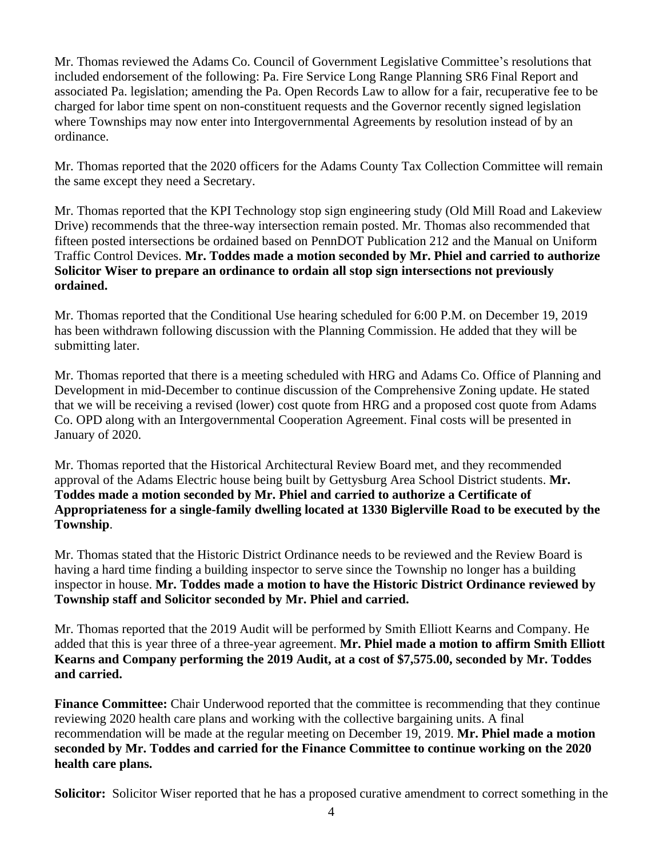Mr. Thomas reviewed the Adams Co. Council of Government Legislative Committee's resolutions that included endorsement of the following: Pa. Fire Service Long Range Planning SR6 Final Report and associated Pa. legislation; amending the Pa. Open Records Law to allow for a fair, recuperative fee to be charged for labor time spent on non-constituent requests and the Governor recently signed legislation where Townships may now enter into Intergovernmental Agreements by resolution instead of by an ordinance.

Mr. Thomas reported that the 2020 officers for the Adams County Tax Collection Committee will remain the same except they need a Secretary.

Mr. Thomas reported that the KPI Technology stop sign engineering study (Old Mill Road and Lakeview Drive) recommends that the three-way intersection remain posted. Mr. Thomas also recommended that fifteen posted intersections be ordained based on PennDOT Publication 212 and the Manual on Uniform Traffic Control Devices. **Mr. Toddes made a motion seconded by Mr. Phiel and carried to authorize Solicitor Wiser to prepare an ordinance to ordain all stop sign intersections not previously ordained.**

Mr. Thomas reported that the Conditional Use hearing scheduled for 6:00 P.M. on December 19, 2019 has been withdrawn following discussion with the Planning Commission. He added that they will be submitting later.

Mr. Thomas reported that there is a meeting scheduled with HRG and Adams Co. Office of Planning and Development in mid-December to continue discussion of the Comprehensive Zoning update. He stated that we will be receiving a revised (lower) cost quote from HRG and a proposed cost quote from Adams Co. OPD along with an Intergovernmental Cooperation Agreement. Final costs will be presented in January of 2020.

Mr. Thomas reported that the Historical Architectural Review Board met, and they recommended approval of the Adams Electric house being built by Gettysburg Area School District students. **Mr. Toddes made a motion seconded by Mr. Phiel and carried to authorize a Certificate of Appropriateness for a single-family dwelling located at 1330 Biglerville Road to be executed by the Township**.

Mr. Thomas stated that the Historic District Ordinance needs to be reviewed and the Review Board is having a hard time finding a building inspector to serve since the Township no longer has a building inspector in house. **Mr. Toddes made a motion to have the Historic District Ordinance reviewed by Township staff and Solicitor seconded by Mr. Phiel and carried.**

Mr. Thomas reported that the 2019 Audit will be performed by Smith Elliott Kearns and Company. He added that this is year three of a three-year agreement. **Mr. Phiel made a motion to affirm Smith Elliott Kearns and Company performing the 2019 Audit, at a cost of \$7,575.00, seconded by Mr. Toddes and carried.** 

**Finance Committee:** Chair Underwood reported that the committee is recommending that they continue reviewing 2020 health care plans and working with the collective bargaining units. A final recommendation will be made at the regular meeting on December 19, 2019. **Mr. Phiel made a motion seconded by Mr. Toddes and carried for the Finance Committee to continue working on the 2020 health care plans.**

**Solicitor:** Solicitor Wiser reported that he has a proposed curative amendment to correct something in the